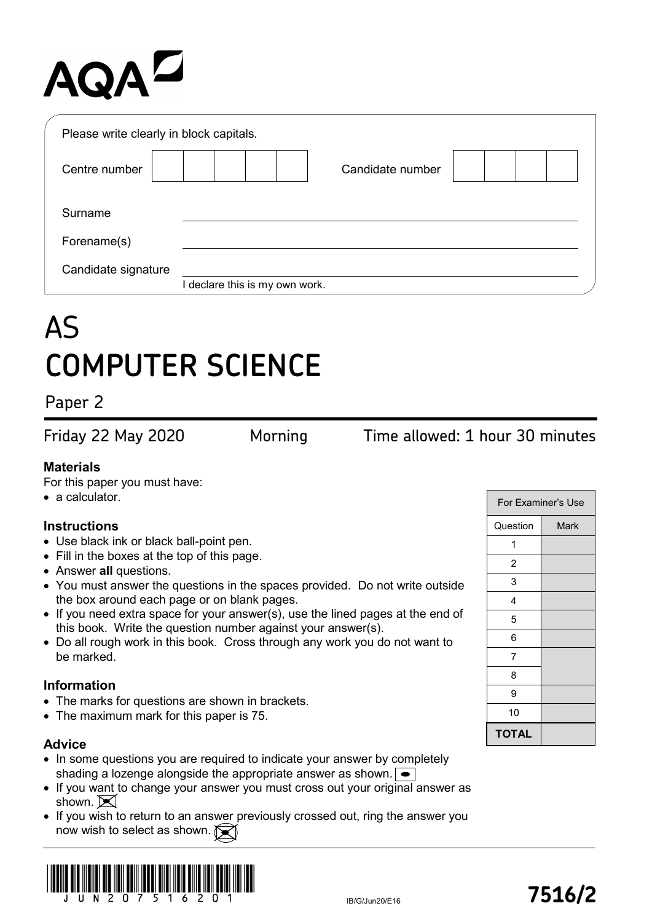# **AQAZ**

| Please write clearly in block capitals. |                              |  |
|-----------------------------------------|------------------------------|--|
| Centre number                           | Candidate number             |  |
| Surname                                 |                              |  |
| Forename(s)                             |                              |  |
| Candidate signature                     |                              |  |
|                                         | declare this is my own work. |  |

## AS **COMPUTER SCIENCE**

Paper 2

Friday 22 May 2020 Morning Time allowed: 1 hour 30 minutes

### **Materials**

For this paper you must have:

• a calculator.

#### **Instructions**

- Use black ink or black ball-point pen.
- Fill in the boxes at the top of this page.
- Answer **all** questions.
- You must answer the questions in the spaces provided. Do not write outside the box around each page or on blank pages.
- If you need extra space for your answer(s), use the lined pages at the end of this book. Write the question number against your answer(s).
- Do all rough work in this book. Cross through any work you do not want to be marked.

#### **Information**

- The marks for questions are shown in brackets.
- The maximum mark for this paper is 75.

#### **Advice**

- In some questions you are required to indicate your answer by completely shading a lozenge alongside the appropriate answer as shown.
- If you want to change your answer you must cross out your original answer as shown.  $\blacktriangleright$
- If you wish to return to an answer previously crossed out, ring the answer you now wish to select as shown.  $\triangleright$



| For Examiner's Use |             |  |
|--------------------|-------------|--|
| Question           | <b>Mark</b> |  |
| 1                  |             |  |
| 2                  |             |  |
| 3                  |             |  |
| 4                  |             |  |
| 5                  |             |  |
| 6                  |             |  |
| 7                  |             |  |
| 8                  |             |  |
| 9                  |             |  |
| 10                 |             |  |
| <b>TOTAL</b>       |             |  |

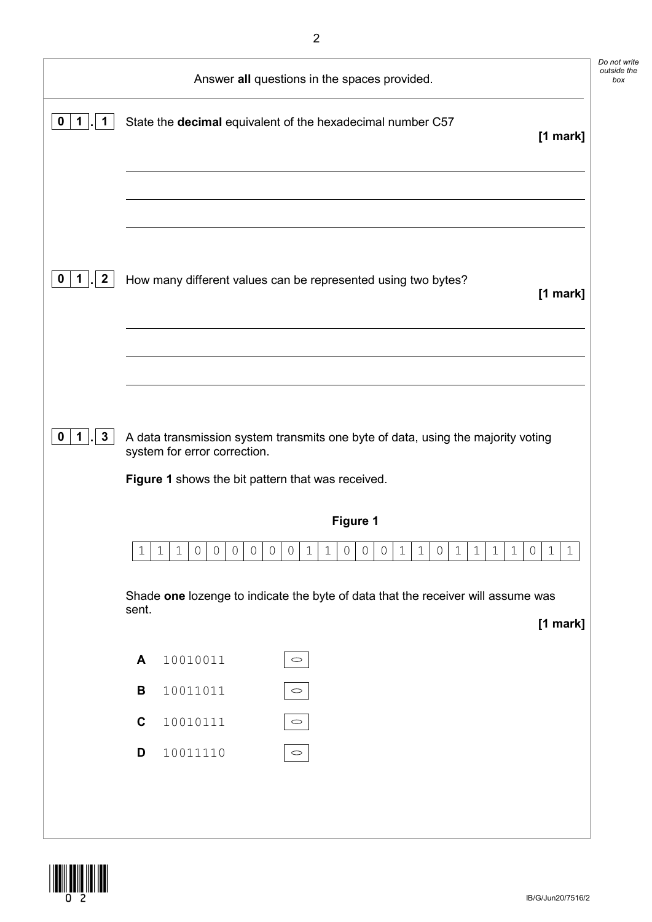|                                    | Answer all questions in the spaces provided.                                                                                                                                                                                                                                                 |                                            |
|------------------------------------|----------------------------------------------------------------------------------------------------------------------------------------------------------------------------------------------------------------------------------------------------------------------------------------------|--------------------------------------------|
| 0<br>1                             | State the decimal equivalent of the hexadecimal number C57                                                                                                                                                                                                                                   | [1 mark]                                   |
|                                    |                                                                                                                                                                                                                                                                                              |                                            |
|                                    |                                                                                                                                                                                                                                                                                              |                                            |
| $\overline{2}$<br>$\mathbf 0$<br>1 | How many different values can be represented using two bytes?                                                                                                                                                                                                                                | [1 mark]                                   |
|                                    |                                                                                                                                                                                                                                                                                              |                                            |
|                                    |                                                                                                                                                                                                                                                                                              |                                            |
|                                    |                                                                                                                                                                                                                                                                                              |                                            |
|                                    |                                                                                                                                                                                                                                                                                              |                                            |
| $\mathbf{3}$<br>0<br>1             | A data transmission system transmits one byte of data, using the majority voting<br>system for error correction.                                                                                                                                                                             |                                            |
|                                    | Figure 1 shows the bit pattern that was received.                                                                                                                                                                                                                                            |                                            |
|                                    | Figure 1                                                                                                                                                                                                                                                                                     |                                            |
|                                    | $1\,$<br>$1\,$<br>$\mathsf{O}$<br>$\circ$<br>$\overline{0}$<br>$\circ$<br>$\circ$<br>$1\,$<br>$\mathbf 1$<br>$1\,$<br>$\mathbf{1}$<br>$\circ$<br>$\overline{0}$<br>$\overline{0}$<br>$\mathbf{1}$<br>$\mathbf 1$<br>$\overline{0}$<br>$\mathbf{1}$<br>$\circ$<br>$\mathbf 1$<br>$\mathbf{1}$ | $\mathsf{O}$<br>$\mathbf 1$<br>$\mathbf 1$ |
|                                    | Shade one lozenge to indicate the byte of data that the receiver will assume was                                                                                                                                                                                                             |                                            |
|                                    | sent.                                                                                                                                                                                                                                                                                        | [1 mark]                                   |
|                                    | 10010011<br>A<br>$\bigcirc$                                                                                                                                                                                                                                                                  |                                            |
|                                    | $\bigcirc$<br>В<br>10011011                                                                                                                                                                                                                                                                  |                                            |
|                                    | $\mathbf C$<br>10010111<br>$\bigcirc$                                                                                                                                                                                                                                                        |                                            |

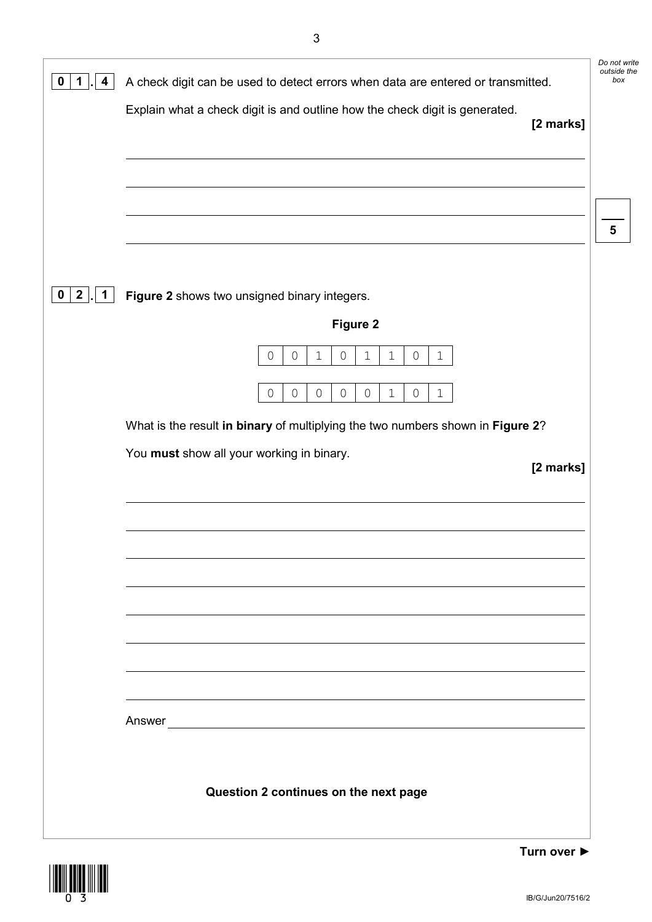| 4<br>$\mathbf 0$<br>$\mathbf 1$            | A check digit can be used to detect errors when data are entered or transmitted.                                  | Do not write<br>outside the<br>box |
|--------------------------------------------|-------------------------------------------------------------------------------------------------------------------|------------------------------------|
|                                            | Explain what a check digit is and outline how the check digit is generated.<br>[2 marks]                          |                                    |
|                                            |                                                                                                                   |                                    |
|                                            |                                                                                                                   |                                    |
|                                            |                                                                                                                   | 5                                  |
|                                            |                                                                                                                   |                                    |
| $2^{\circ}$<br>$\mathbf 1$<br>$\mathbf{0}$ | Figure 2 shows two unsigned binary integers.                                                                      |                                    |
|                                            | Figure 2                                                                                                          |                                    |
|                                            | $\mathbb O$<br>$\circledcirc$<br>$\mathbf 1$<br>$1\,$<br>$\mathbf{1}$<br>$\overline{0}$<br>$\mathbf 1$<br>$\circ$ |                                    |
|                                            | $\mathsf{O}$<br>$\mathsf{O}$<br>$\mathsf{O}$<br>$1\,$<br>$\mathbb O$<br>$\mathbf{1}$<br>$\theta$<br>$\mathsf{O}$  |                                    |
|                                            | What is the result in binary of multiplying the two numbers shown in Figure 2?                                    |                                    |
|                                            | You must show all your working in binary.<br>[2 marks]                                                            |                                    |
|                                            |                                                                                                                   |                                    |
|                                            |                                                                                                                   |                                    |
|                                            |                                                                                                                   |                                    |
|                                            |                                                                                                                   |                                    |
|                                            |                                                                                                                   |                                    |
|                                            |                                                                                                                   |                                    |
|                                            |                                                                                                                   |                                    |
|                                            | Answer                                                                                                            |                                    |
|                                            |                                                                                                                   |                                    |
|                                            | Question 2 continues on the next page                                                                             |                                    |
|                                            |                                                                                                                   |                                    |

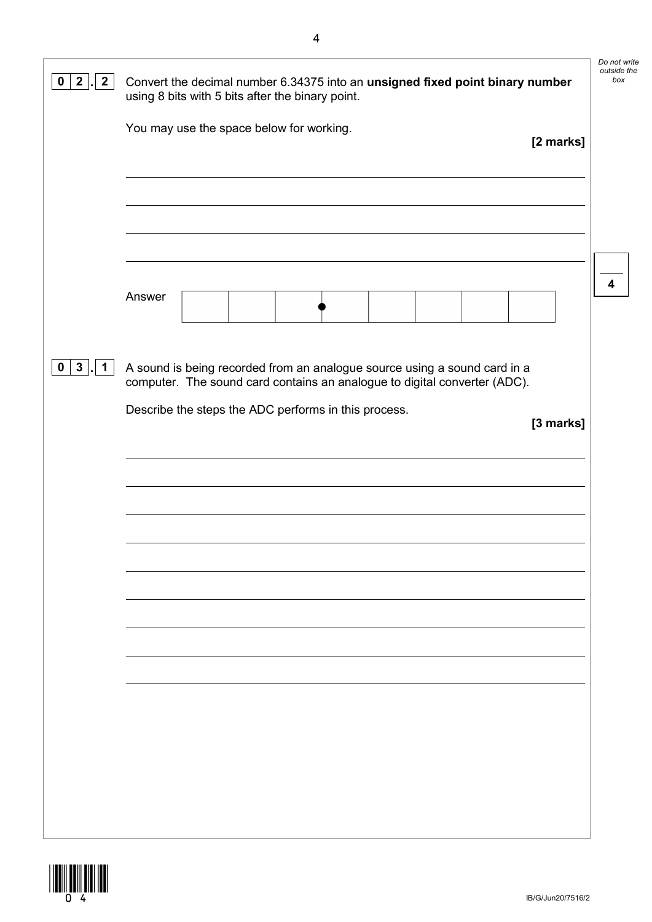| $\mathbf{2}$<br>$\mathbf{2}$ | Convert the decimal number 6.34375 into an unsigned fixed point binary number<br>using 8 bits with 5 bits after the binary point.                      | Do not write<br>outside the<br>box |
|------------------------------|--------------------------------------------------------------------------------------------------------------------------------------------------------|------------------------------------|
|                              | You may use the space below for working.<br>[2 marks]                                                                                                  |                                    |
|                              |                                                                                                                                                        |                                    |
|                              |                                                                                                                                                        |                                    |
|                              | Answer                                                                                                                                                 | 4                                  |
| $\mathbf{3}$<br>1.           | A sound is being recorded from an analogue source using a sound card in a<br>computer. The sound card contains an analogue to digital converter (ADC). |                                    |
|                              | Describe the steps the ADC performs in this process.<br>[3 marks]                                                                                      |                                    |
|                              |                                                                                                                                                        |                                    |
|                              |                                                                                                                                                        |                                    |
|                              |                                                                                                                                                        |                                    |
|                              |                                                                                                                                                        |                                    |
|                              |                                                                                                                                                        |                                    |
|                              |                                                                                                                                                        |                                    |
|                              |                                                                                                                                                        |                                    |

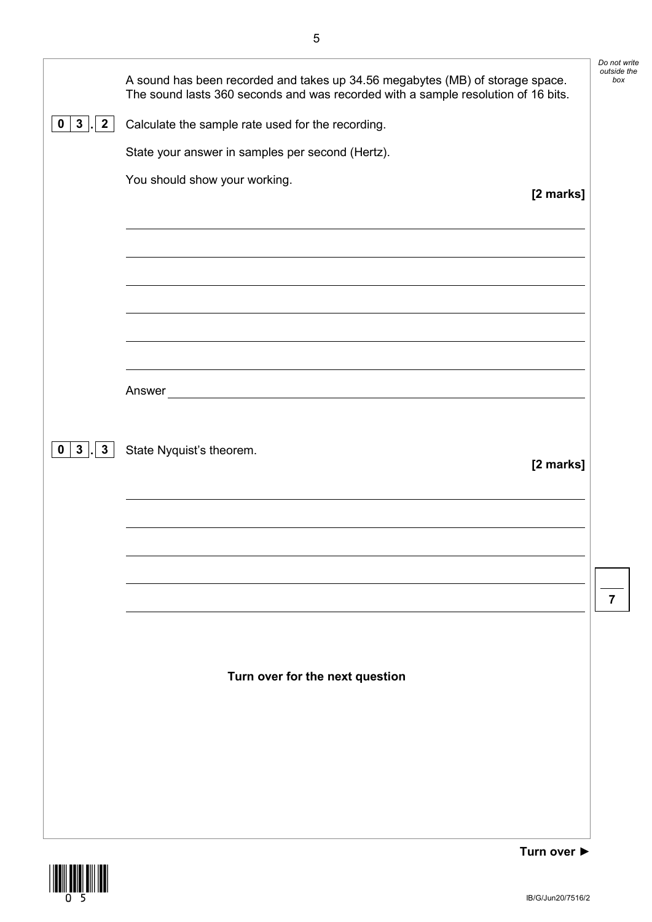|                                                 | A sound has been recorded and takes up 34.56 megabytes (MB) of storage space.     | Do not write<br>outside the<br>box |
|-------------------------------------------------|-----------------------------------------------------------------------------------|------------------------------------|
|                                                 | The sound lasts 360 seconds and was recorded with a sample resolution of 16 bits. |                                    |
| $\overline{2}$<br>3 <sup>1</sup><br>$\mathbf 0$ | Calculate the sample rate used for the recording.                                 |                                    |
|                                                 | State your answer in samples per second (Hertz).                                  |                                    |
|                                                 | You should show your working.<br>[2 marks]                                        |                                    |
|                                                 |                                                                                   |                                    |
|                                                 |                                                                                   |                                    |
|                                                 |                                                                                   |                                    |
|                                                 |                                                                                   |                                    |
|                                                 |                                                                                   |                                    |
|                                                 |                                                                                   |                                    |
|                                                 | Answer                                                                            |                                    |
|                                                 |                                                                                   |                                    |
| $3\phantom{.0}$<br>$\mathbf{3}$<br>$\mathbf 0$  |                                                                                   |                                    |
|                                                 | State Nyquist's theorem.<br>[2 marks]                                             |                                    |
|                                                 |                                                                                   |                                    |
|                                                 |                                                                                   |                                    |
|                                                 |                                                                                   |                                    |
|                                                 |                                                                                   |                                    |
|                                                 |                                                                                   | $\overline{\mathbf{z}}$            |
|                                                 |                                                                                   |                                    |
|                                                 |                                                                                   |                                    |
|                                                 | Turn over for the next question                                                   |                                    |
|                                                 |                                                                                   |                                    |
|                                                 |                                                                                   |                                    |
|                                                 |                                                                                   |                                    |
|                                                 |                                                                                   |                                    |
|                                                 |                                                                                   |                                    |

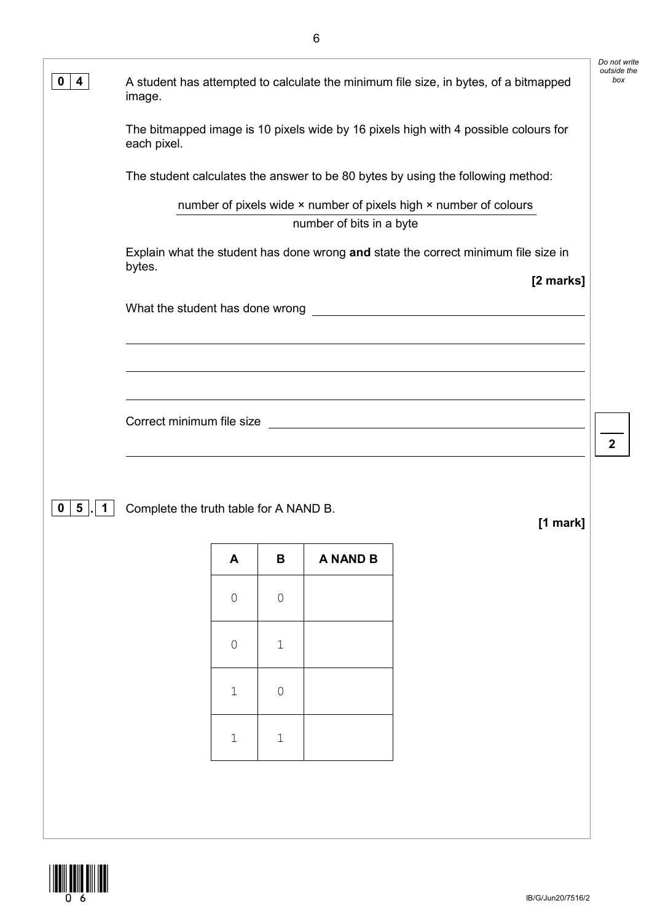| $\overline{\mathbf{4}}$<br>0      | image.                                 |             |              |                          | A student has attempted to calculate the minimum file size, in bytes, of a bitmapped                                   | Do not write<br>outside the<br>box |
|-----------------------------------|----------------------------------------|-------------|--------------|--------------------------|------------------------------------------------------------------------------------------------------------------------|------------------------------------|
|                                   | each pixel.                            |             |              |                          | The bitmapped image is 10 pixels wide by 16 pixels high with 4 possible colours for                                    |                                    |
|                                   |                                        |             |              |                          | The student calculates the answer to be 80 bytes by using the following method:                                        |                                    |
|                                   |                                        |             |              | number of bits in a byte | number of pixels wide x number of pixels high x number of colours                                                      |                                    |
|                                   | bytes.                                 |             |              |                          | Explain what the student has done wrong and state the correct minimum file size in                                     |                                    |
|                                   |                                        |             |              |                          | [2 marks]                                                                                                              |                                    |
|                                   |                                        |             |              |                          |                                                                                                                        |                                    |
|                                   |                                        |             |              |                          |                                                                                                                        |                                    |
|                                   |                                        |             |              |                          |                                                                                                                        |                                    |
|                                   | Correct minimum file size              |             |              |                          | <u> Alexandria de la construcción de la construcción de la construcción de la construcción de la construcción de l</u> |                                    |
|                                   |                                        |             |              |                          |                                                                                                                        | $\boldsymbol{2}$                   |
|                                   |                                        |             |              |                          |                                                                                                                        |                                    |
| $\overline{\mathbf{5}}$<br>0<br>1 | Complete the truth table for A NAND B. |             |              |                          | $[1$ mark]                                                                                                             |                                    |
|                                   |                                        | A           | B            | <b>A NAND B</b>          |                                                                                                                        |                                    |
|                                   |                                        | $\mathbb O$ | $\mathbf 0$  |                          |                                                                                                                        |                                    |
|                                   |                                        | $\mathbb O$ | $1\,$        |                          |                                                                                                                        |                                    |
|                                   |                                        | $\mathbf 1$ | $\mathsf{O}$ |                          |                                                                                                                        |                                    |
|                                   |                                        | $1\,$       | $\mathbf 1$  |                          |                                                                                                                        |                                    |
|                                   |                                        |             |              |                          |                                                                                                                        |                                    |
|                                   |                                        |             |              |                          |                                                                                                                        |                                    |
|                                   |                                        |             |              |                          |                                                                                                                        |                                    |

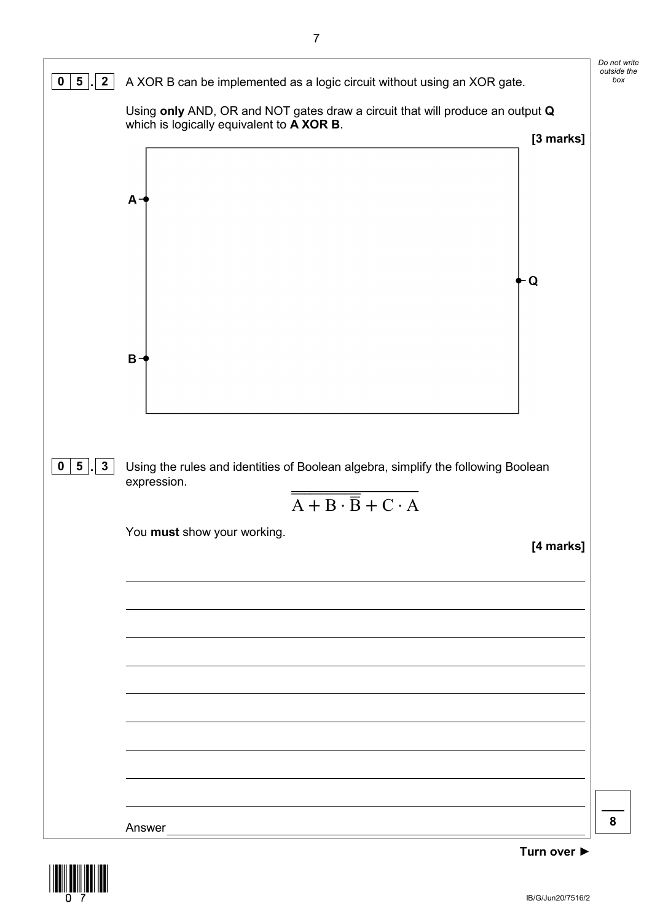| $\mathbf{2}$<br>$\overline{\mathbf{5}}$<br>$\mathbf 0$ | A XOR B can be implemented as a logic circuit without using an XOR gate.                                                                              | Do not write<br>outside the<br>box |
|--------------------------------------------------------|-------------------------------------------------------------------------------------------------------------------------------------------------------|------------------------------------|
|                                                        | Using only AND, OR and NOT gates draw a circuit that will produce an output Q<br>which is logically equivalent to A XOR B.<br>[3 marks]               |                                    |
|                                                        | $A^{-}$                                                                                                                                               |                                    |
|                                                        | - Q                                                                                                                                                   |                                    |
|                                                        | $B \rightarrow$                                                                                                                                       |                                    |
| $\mathbf{3}$<br>5 <sub>5</sub><br>$\mathbf 0$          | Using the rules and identities of Boolean algebra, simplify the following Boolean<br>expression.<br>$\overline{A + B \cdot \overline{B} + C \cdot A}$ |                                    |
|                                                        | You must show your working.<br>[4 marks]                                                                                                              |                                    |
|                                                        |                                                                                                                                                       |                                    |
|                                                        |                                                                                                                                                       |                                    |
|                                                        |                                                                                                                                                       |                                    |
|                                                        | Answer<br>$T_{\text{IIPD} \text{AVOP}}$                                                                                                               | 8                                  |

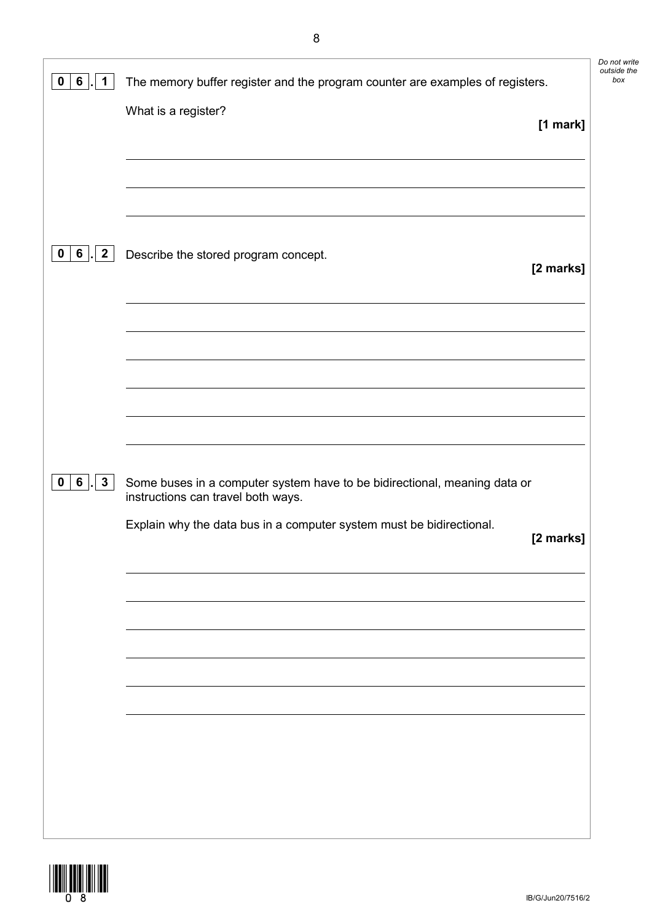|                                    | What is a register?                                                                                             |           |
|------------------------------------|-----------------------------------------------------------------------------------------------------------------|-----------|
|                                    |                                                                                                                 | [1 mark]  |
|                                    |                                                                                                                 |           |
|                                    |                                                                                                                 |           |
|                                    |                                                                                                                 |           |
| 6<br>$\overline{2}$<br>$\mathbf 0$ | Describe the stored program concept.                                                                            | [2 marks] |
|                                    |                                                                                                                 |           |
|                                    |                                                                                                                 |           |
|                                    |                                                                                                                 |           |
|                                    |                                                                                                                 |           |
|                                    |                                                                                                                 |           |
|                                    |                                                                                                                 |           |
|                                    |                                                                                                                 |           |
| $\mathbf{3}$<br>$6 \mid$           | Some buses in a computer system have to be bidirectional, meaning data or<br>instructions can travel both ways. |           |
|                                    | Explain why the data bus in a computer system must be bidirectional.                                            |           |
|                                    |                                                                                                                 | [2 marks] |
|                                    |                                                                                                                 |           |
|                                    |                                                                                                                 |           |
|                                    |                                                                                                                 |           |
|                                    |                                                                                                                 |           |
|                                    |                                                                                                                 |           |
|                                    |                                                                                                                 |           |
|                                    |                                                                                                                 |           |
| $\mathbf 0$                        |                                                                                                                 |           |



*Do not write outside the*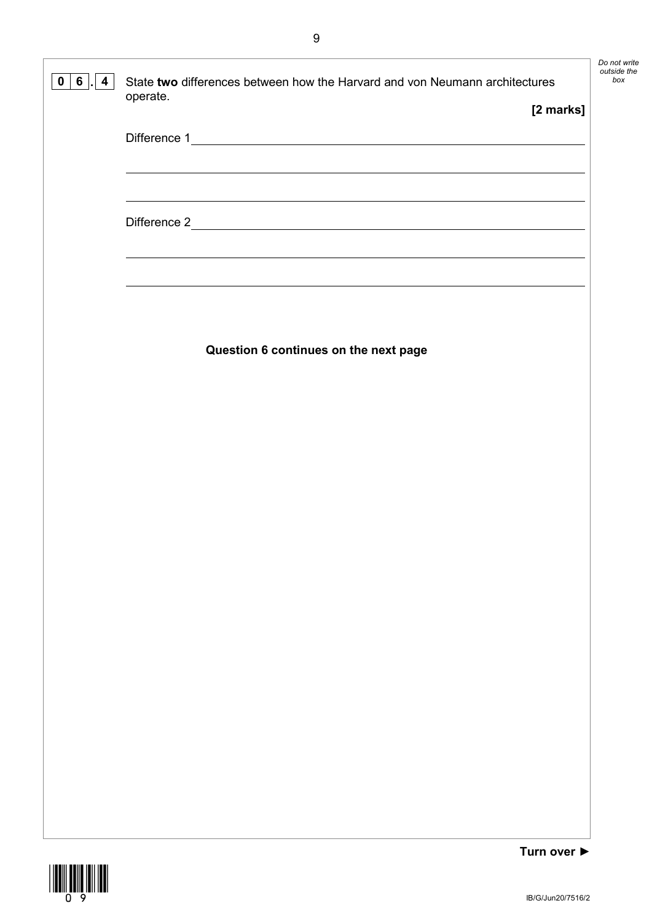|                                                 |                                                                             | Do not write       |
|-------------------------------------------------|-----------------------------------------------------------------------------|--------------------|
| $6\phantom{1}$<br>$\mathbf 0$<br>4 <sup>1</sup> | State two differences between how the Harvard and von Neumann architectures | outside the<br>box |
|                                                 | operate.                                                                    |                    |
|                                                 | [2 marks]                                                                   |                    |
|                                                 |                                                                             |                    |
|                                                 |                                                                             |                    |
|                                                 |                                                                             |                    |
|                                                 |                                                                             |                    |
|                                                 |                                                                             |                    |
|                                                 |                                                                             |                    |
|                                                 |                                                                             |                    |
|                                                 |                                                                             |                    |
|                                                 |                                                                             |                    |
|                                                 |                                                                             |                    |
|                                                 |                                                                             |                    |
|                                                 |                                                                             |                    |
|                                                 | Question 6 continues on the next page                                       |                    |
|                                                 |                                                                             |                    |
|                                                 |                                                                             |                    |
|                                                 |                                                                             |                    |
|                                                 |                                                                             |                    |
|                                                 |                                                                             |                    |
|                                                 |                                                                             |                    |
|                                                 |                                                                             |                    |
|                                                 |                                                                             |                    |
|                                                 |                                                                             |                    |
|                                                 |                                                                             |                    |
|                                                 |                                                                             |                    |
|                                                 |                                                                             |                    |
|                                                 |                                                                             |                    |
|                                                 |                                                                             |                    |
|                                                 |                                                                             |                    |
|                                                 |                                                                             |                    |
|                                                 |                                                                             |                    |
|                                                 |                                                                             |                    |
|                                                 |                                                                             |                    |
|                                                 |                                                                             |                    |
|                                                 |                                                                             |                    |
|                                                 |                                                                             |                    |
|                                                 |                                                                             |                    |
|                                                 |                                                                             |                    |
|                                                 |                                                                             |                    |
|                                                 |                                                                             |                    |
|                                                 |                                                                             |                    |
|                                                 | Turn over ▶                                                                 |                    |

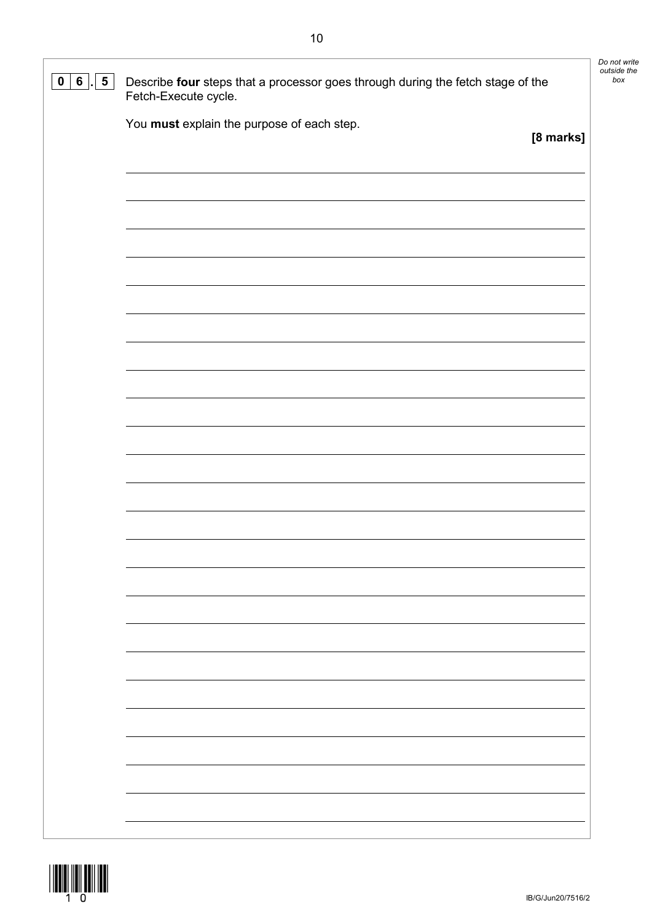| 5 <sub>1</sub><br>6<br>0 | Describe four steps that a processor goes through during the fetch stage of the<br>Fetch-Execute cycle. | Do not write<br>outside the |
|--------------------------|---------------------------------------------------------------------------------------------------------|-----------------------------|
|                          | You must explain the purpose of each step.<br>[8 marks]                                                 |                             |
|                          |                                                                                                         |                             |
|                          |                                                                                                         |                             |
|                          |                                                                                                         |                             |
|                          |                                                                                                         |                             |
|                          |                                                                                                         |                             |
|                          |                                                                                                         |                             |
|                          |                                                                                                         |                             |
|                          |                                                                                                         |                             |
|                          |                                                                                                         |                             |
|                          |                                                                                                         |                             |
|                          |                                                                                                         |                             |
|                          |                                                                                                         |                             |
|                          |                                                                                                         |                             |

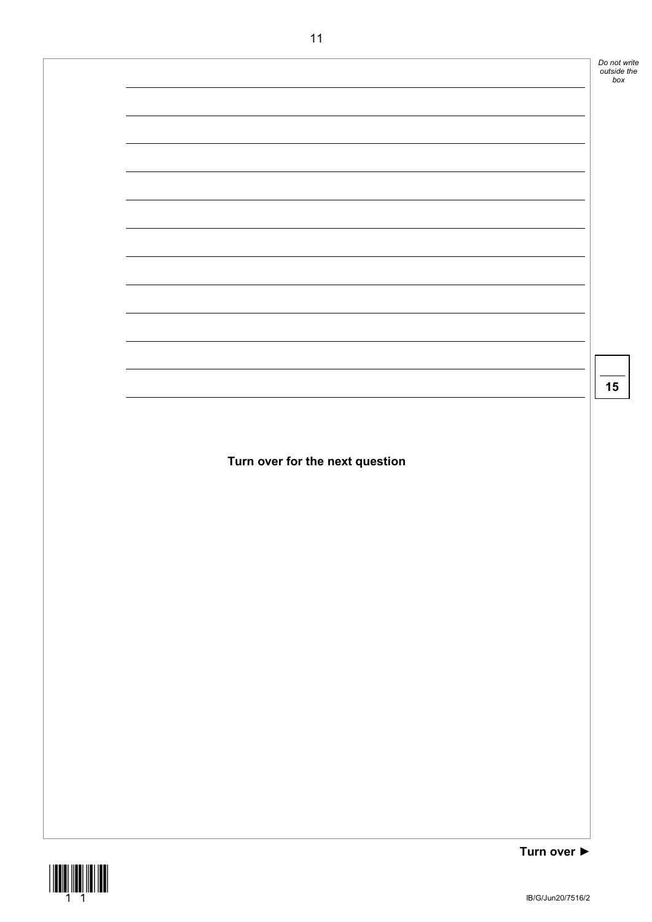*Do not write outside the box* **15 Turn over for the next question**



IB/G/Jun20/7516/2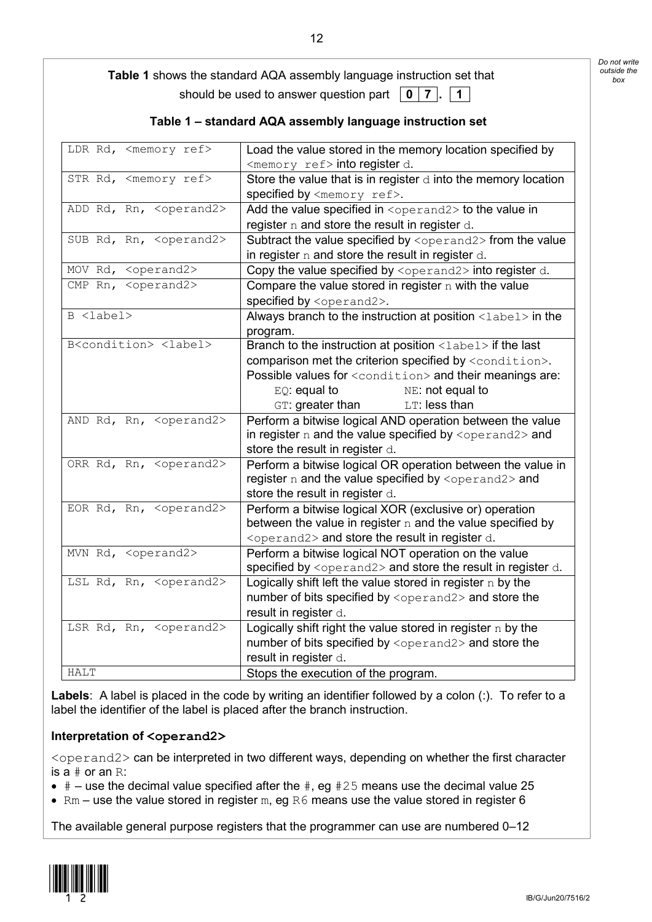**Table 1** shows the standard AQA assembly language instruction set that  $\int_{\text{box}}^{\text{outside}}$ 

should be used to answer question part  $\boxed{0 \mid 7}$  .  $\boxed{1}$ 

#### **Table 1 – standard AQA assembly language instruction set**

| LDR Rd, <memory ref=""></memory>          | Load the value stored in the memory location specified by<br><memory ref=""> into register d.</memory>                         |
|-------------------------------------------|--------------------------------------------------------------------------------------------------------------------------------|
| STR Rd, <memory ref=""></memory>          | Store the value that is in register $d$ into the memory location                                                               |
|                                           | specified by <memory ref="">.</memory>                                                                                         |
| ADD Rd, Rn, <operand2></operand2>         | Add the value specified in <operand2> to the value in</operand2>                                                               |
|                                           | register $n$ and store the result in register $d$ .                                                                            |
| SUB Rd, Rn, <operand2></operand2>         | Subtract the value specified by <operand2> from the value</operand2>                                                           |
|                                           | in register $n$ and store the result in register $d$ .                                                                         |
| MOV Rd, <operand2></operand2>             | Copy the value specified by $\langle$ operand2> into register d.                                                               |
| CMP Rn, <operand2></operand2>             | Compare the value stored in register $n$ with the value                                                                        |
|                                           | specified by <operand2>.</operand2>                                                                                            |
| B <label></label>                         | Always branch to the instruction at position <label> in the</label>                                                            |
|                                           | program.                                                                                                                       |
| B <condition> <label></label></condition> | Branch to the instruction at position <label> if the last</label>                                                              |
|                                           | comparison met the criterion specified by <condition>.</condition>                                                             |
|                                           | Possible values for <condition> and their meanings are:</condition>                                                            |
|                                           | EQ: equal to<br>NE: not equal to                                                                                               |
|                                           | LT: less than<br>GT: greater than                                                                                              |
| AND Rd, Rn, <operand2></operand2>         | Perform a bitwise logical AND operation between the value                                                                      |
|                                           | in register $n$ and the value specified by $\langle$ operand2> and                                                             |
| ORR Rd, Rn, <operand2></operand2>         | store the result in register d.                                                                                                |
|                                           | Perform a bitwise logical OR operation between the value in<br>register n and the value specified by <operand2> and</operand2> |
|                                           | store the result in register d.                                                                                                |
| EOR Rd, Rn, <operand2></operand2>         | Perform a bitwise logical XOR (exclusive or) operation                                                                         |
|                                           | between the value in register $n$ and the value specified by                                                                   |
|                                           | <operand2> and store the result in register d.</operand2>                                                                      |
| MVN Rd, <operand2></operand2>             | Perform a bitwise logical NOT operation on the value                                                                           |
|                                           | specified by <operand2> and store the result in register d.</operand2>                                                         |
| LSL Rd, Rn, <operand2></operand2>         | Logically shift left the value stored in register $n$ by the                                                                   |
|                                           | number of bits specified by <operand2> and store the</operand2>                                                                |
|                                           | result in register d.                                                                                                          |
| LSR Rd, Rn, <operand2></operand2>         | Logically shift right the value stored in register $n$ by the                                                                  |
|                                           | number of bits specified by <operand2> and store the</operand2>                                                                |
|                                           | result in register d.                                                                                                          |
| HALT                                      | Stops the execution of the program.                                                                                            |

**Labels**: A label is placed in the code by writing an identifier followed by a colon (:). To refer to a label the identifier of the label is placed after the branch instruction.

#### **Interpretation of <operand2>**

<operand2> can be interpreted in two different ways, depending on whether the first character is  $a \#$  or an R:

 $\bullet$  # – use the decimal value specified after the #, eg #25 means use the decimal value 25

•  $Rm -$  use the value stored in register m, eg R6 means use the value stored in register 6

The available general purpose registers that the programmer can use are numbered 0–12



*Do not write*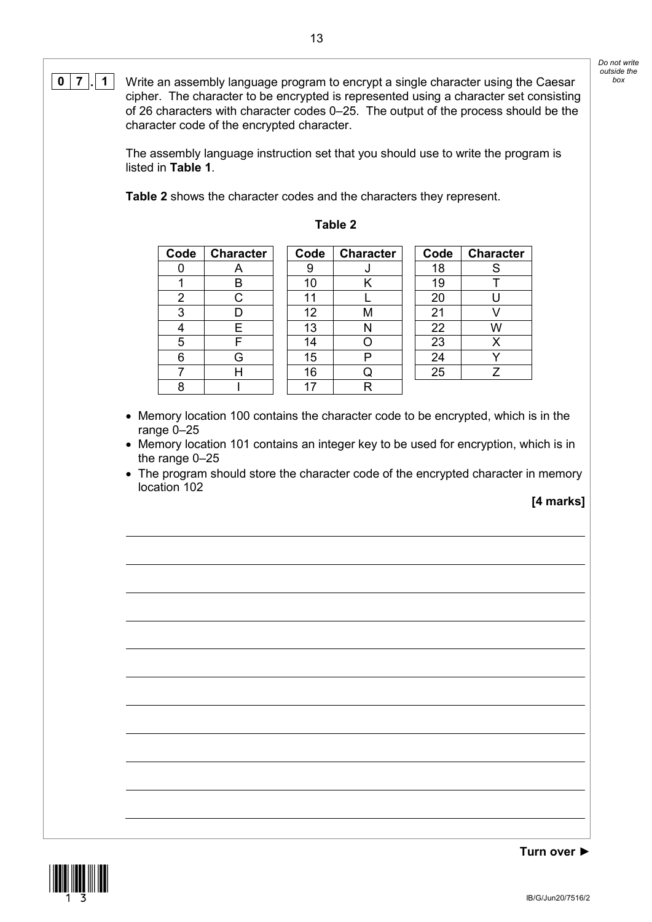**0 7** *b*<sub>1</sub> **1 i** Write an assembly language program to encrypt a single character using the Caesar cipher. The character to be encrypted is represented using a character set consisting of 26 characters with character codes 0–25. The output of the process should be the character code of the encrypted character.

> The assembly language instruction set that you should use to write the program is listed in **Table 1**.

**Table 2** shows the character codes and the characters they represent.

| Code | <b>Character</b> | Code | <b>Character</b> | Code | <b>Chara</b> |
|------|------------------|------|------------------|------|--------------|
|      | ∼                | У    |                  | 18   | S            |
|      | в                | 10   |                  | 19   |              |
| 2    | С                | 11   |                  | 20   |              |
| 3    |                  | 12   | м                | 21   |              |
|      | Е                | 13   |                  | 22   | W            |
| 5    |                  | 14   |                  | 23   |              |
| 6    | G                | 15   |                  | 24   |              |
|      |                  | 16   | Q                | 25   |              |
|      |                  | 17   | R                |      |              |

#### **Table 2**

| ode | <b>Character</b> | Code | <b>Character</b> | Code | <b>Character</b> |
|-----|------------------|------|------------------|------|------------------|
| 0   |                  |      |                  | 18   |                  |
|     |                  | 10   |                  | 19   |                  |
| 2   |                  |      |                  | 20   |                  |
| 3   |                  | 12   |                  | 21   |                  |
| 4   |                  | 13   |                  | 22   |                  |
| 5   |                  | 14   |                  | 23   |                  |
| 6   |                  | 15   |                  | 24   |                  |
|     |                  | 16   |                  | 25   |                  |

- Memory location 100 contains the character code to be encrypted, which is in the range 0–25
- Memory location 101 contains an integer key to be used for encryption, which is in the range 0–25
- The program should store the character code of the encrypted character in memory location 102

#### **[4 marks]**

<u>|| || || || || || || || || || || ||</u>

**Turn over ►**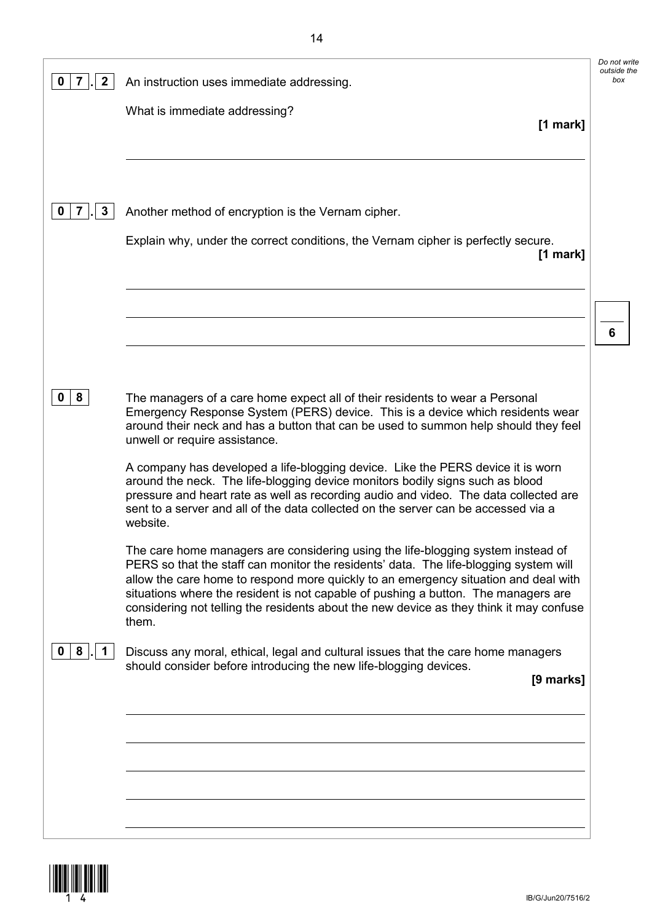| 0<br>$\mathbf{2}$ | An instruction uses immediate addressing.                                                                                                                                                                                                                                                                                                                                                                                                                  | Do not write<br>outside the<br>box |
|-------------------|------------------------------------------------------------------------------------------------------------------------------------------------------------------------------------------------------------------------------------------------------------------------------------------------------------------------------------------------------------------------------------------------------------------------------------------------------------|------------------------------------|
|                   | What is immediate addressing?                                                                                                                                                                                                                                                                                                                                                                                                                              |                                    |
|                   | [1 mark]                                                                                                                                                                                                                                                                                                                                                                                                                                                   |                                    |
|                   |                                                                                                                                                                                                                                                                                                                                                                                                                                                            |                                    |
| 3<br>7            | Another method of encryption is the Vernam cipher.                                                                                                                                                                                                                                                                                                                                                                                                         |                                    |
|                   | Explain why, under the correct conditions, the Vernam cipher is perfectly secure.<br>$[1$ mark]                                                                                                                                                                                                                                                                                                                                                            |                                    |
|                   |                                                                                                                                                                                                                                                                                                                                                                                                                                                            |                                    |
|                   |                                                                                                                                                                                                                                                                                                                                                                                                                                                            | 6                                  |
|                   |                                                                                                                                                                                                                                                                                                                                                                                                                                                            |                                    |
| 8<br>0            | The managers of a care home expect all of their residents to wear a Personal<br>Emergency Response System (PERS) device. This is a device which residents wear<br>around their neck and has a button that can be used to summon help should they feel<br>unwell or require assistance.                                                                                                                                                                     |                                    |
|                   | A company has developed a life-blogging device. Like the PERS device it is worn<br>around the neck. The life-blogging device monitors bodily signs such as blood<br>pressure and heart rate as well as recording audio and video. The data collected are<br>sent to a server and all of the data collected on the server can be accessed via a<br>website.                                                                                                 |                                    |
|                   | The care home managers are considering using the life-blogging system instead of<br>PERS so that the staff can monitor the residents' data. The life-blogging system will<br>allow the care home to respond more quickly to an emergency situation and deal with<br>situations where the resident is not capable of pushing a button. The managers are<br>considering not telling the residents about the new device as they think it may confuse<br>them. |                                    |
| 8<br>$\mathbf 0$  | Discuss any moral, ethical, legal and cultural issues that the care home managers<br>should consider before introducing the new life-blogging devices.                                                                                                                                                                                                                                                                                                     |                                    |
|                   | [9 marks]                                                                                                                                                                                                                                                                                                                                                                                                                                                  |                                    |
|                   |                                                                                                                                                                                                                                                                                                                                                                                                                                                            |                                    |
|                   |                                                                                                                                                                                                                                                                                                                                                                                                                                                            |                                    |
|                   |                                                                                                                                                                                                                                                                                                                                                                                                                                                            |                                    |

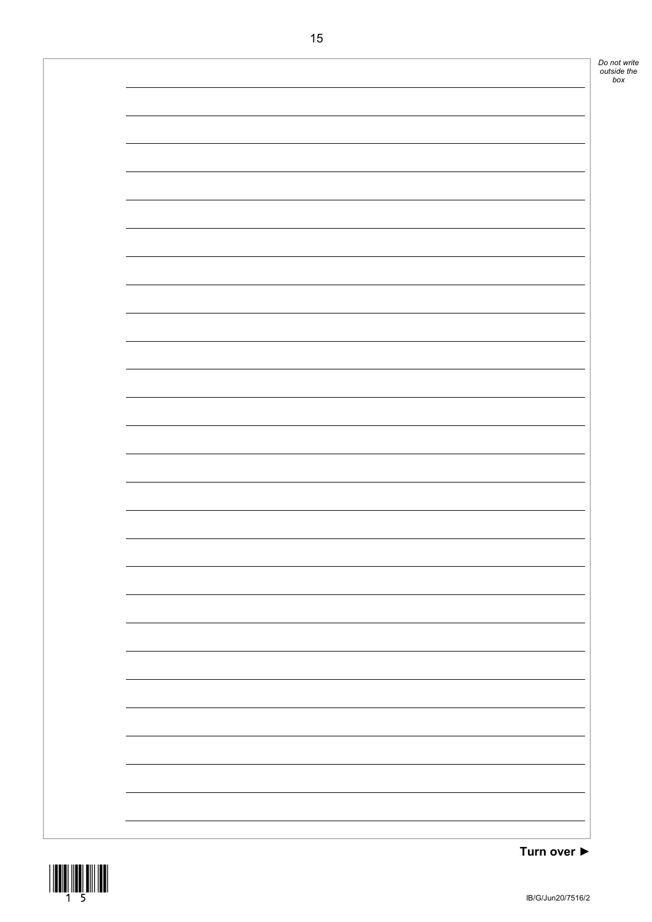

**Turn over ►**

*box*

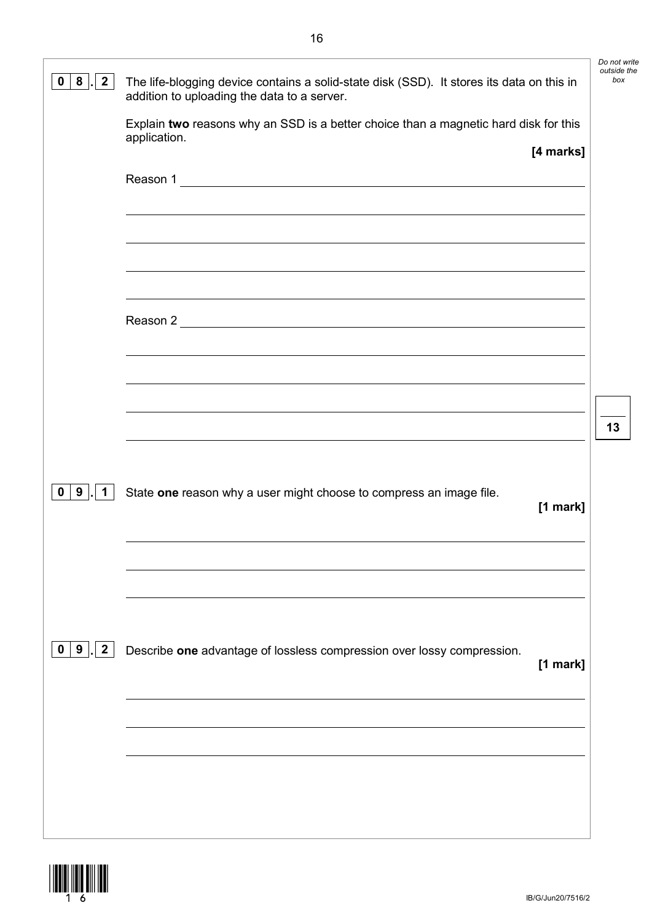| 8<br>$\mathbf{2}$<br>0    | The life-blogging device contains a solid-state disk (SSD). It stores its data on this in<br>addition to uploading the data to a server. | Do not write<br>outside the<br>box |
|---------------------------|------------------------------------------------------------------------------------------------------------------------------------------|------------------------------------|
|                           | Explain two reasons why an SSD is a better choice than a magnetic hard disk for this<br>application.                                     |                                    |
|                           | [4 marks]                                                                                                                                |                                    |
|                           |                                                                                                                                          |                                    |
|                           |                                                                                                                                          |                                    |
|                           |                                                                                                                                          |                                    |
|                           | Reason 2                                                                                                                                 |                                    |
|                           |                                                                                                                                          |                                    |
|                           |                                                                                                                                          |                                    |
|                           |                                                                                                                                          | 13                                 |
|                           |                                                                                                                                          |                                    |
| $9 \mid 1$<br>$\mathbf 0$ | State one reason why a user might choose to compress an image file.<br>[1 mark]                                                          |                                    |
|                           |                                                                                                                                          |                                    |
|                           |                                                                                                                                          |                                    |
|                           |                                                                                                                                          |                                    |
| $\mathbf{2}$<br>9<br>0    | Describe one advantage of lossless compression over lossy compression.<br>[1 mark]                                                       |                                    |
|                           |                                                                                                                                          |                                    |
|                           |                                                                                                                                          |                                    |
|                           |                                                                                                                                          |                                    |
|                           |                                                                                                                                          |                                    |
|                           |                                                                                                                                          |                                    |

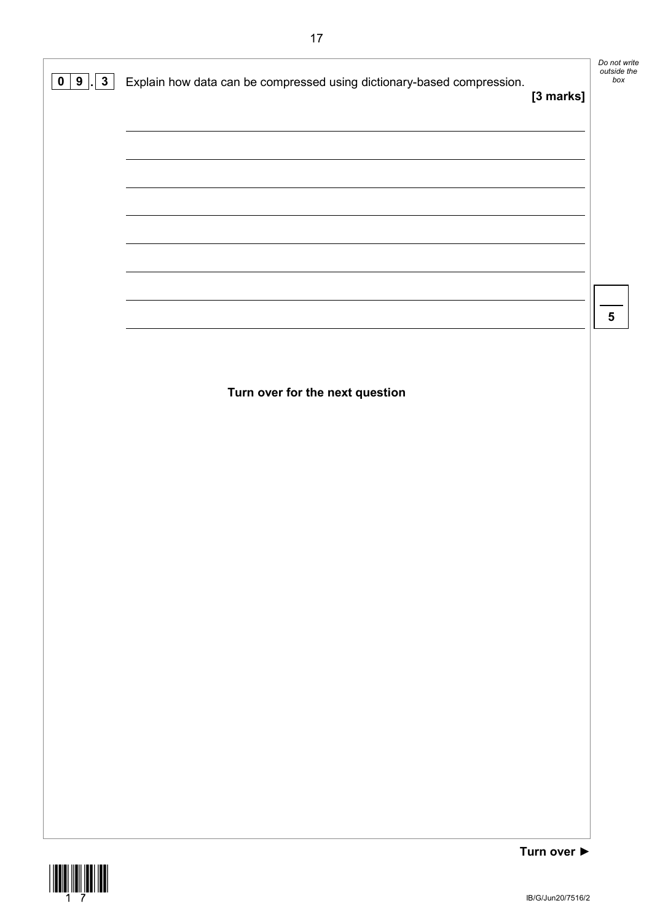| $\overline{\mathbf{3}}$<br>9<br>$\mathbf 0$ | Explain how data can be compressed using dictionary-based compression. | Do not write<br>outside the<br>box<br>[3 marks] |
|---------------------------------------------|------------------------------------------------------------------------|-------------------------------------------------|
|                                             |                                                                        |                                                 |
|                                             |                                                                        |                                                 |
|                                             |                                                                        |                                                 |
|                                             |                                                                        | $\sqrt{5}$                                      |
|                                             |                                                                        |                                                 |
|                                             | Turn over for the next question                                        |                                                 |
|                                             |                                                                        |                                                 |
|                                             |                                                                        |                                                 |
|                                             |                                                                        |                                                 |
|                                             |                                                                        |                                                 |
|                                             |                                                                        |                                                 |
|                                             |                                                                        |                                                 |
|                                             |                                                                        |                                                 |
|                                             |                                                                        |                                                 |
|                                             |                                                                        | Turn over $\blacktriangleright$                 |

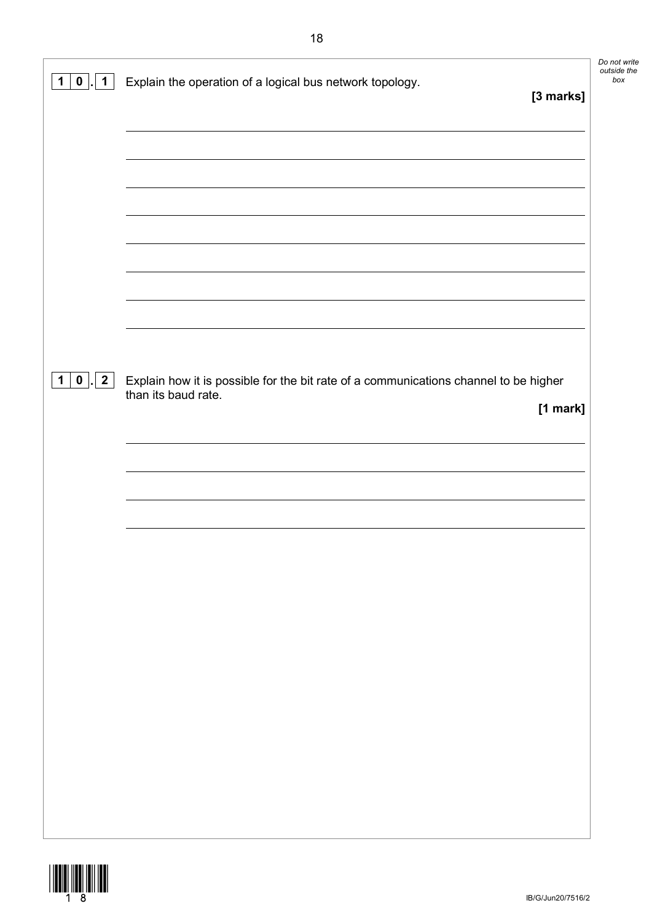| $\mathbf{0}$<br>$\overline{1}$<br>$\mathbf 1$ | Explain the operation of a logical bus network topology.                                                    | [3 marks] |
|-----------------------------------------------|-------------------------------------------------------------------------------------------------------------|-----------|
|                                               |                                                                                                             |           |
|                                               |                                                                                                             |           |
|                                               |                                                                                                             |           |
|                                               |                                                                                                             |           |
|                                               |                                                                                                             |           |
|                                               |                                                                                                             |           |
| $\overline{2}$<br>$\mathbf 0$<br>1            | Explain how it is possible for the bit rate of a communications channel to be higher<br>than its baud rate. |           |
|                                               |                                                                                                             | [1 mark]  |
|                                               |                                                                                                             |           |
|                                               |                                                                                                             |           |
|                                               |                                                                                                             |           |
|                                               |                                                                                                             |           |
|                                               |                                                                                                             |           |
|                                               |                                                                                                             |           |
|                                               |                                                                                                             |           |
|                                               |                                                                                                             |           |
|                                               |                                                                                                             |           |
|                                               |                                                                                                             |           |



*Do not write outside the*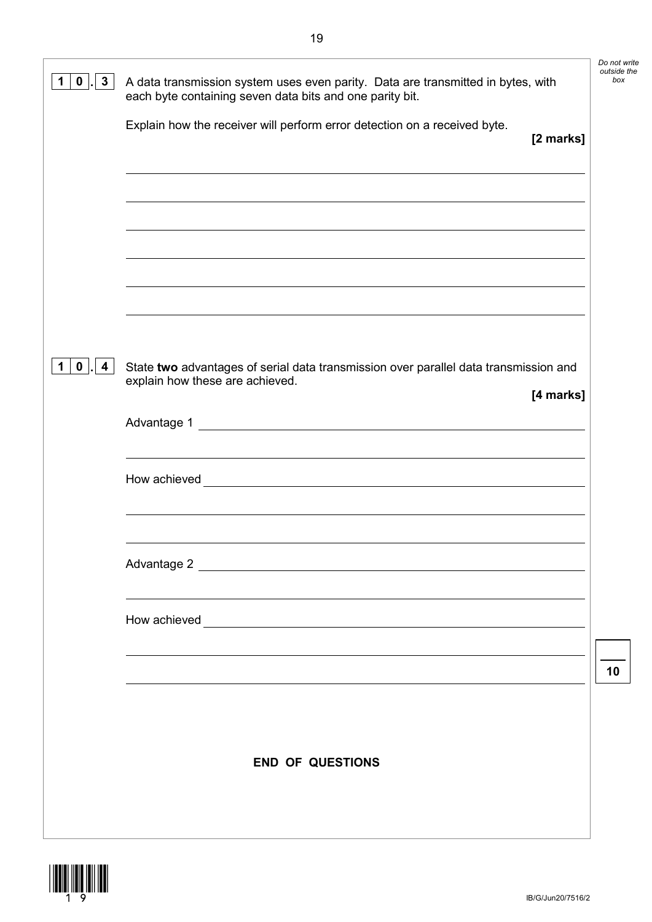| $\mathbf{3}$<br>$\mathbf 0$ | A data transmission system uses even parity. Data are transmitted in bytes, with<br>each byte containing seven data bits and one parity bit. |
|-----------------------------|----------------------------------------------------------------------------------------------------------------------------------------------|
|                             | Explain how the receiver will perform error detection on a received byte.<br>[2 marks]                                                       |
|                             |                                                                                                                                              |
|                             |                                                                                                                                              |
|                             |                                                                                                                                              |
| 1.<br>$\mathbf 0$<br>4      |                                                                                                                                              |
|                             | State two advantages of serial data transmission over parallel data transmission and<br>explain how these are achieved.<br>[4 marks]         |
|                             | <u> 1989 - Johann Stoff, deutscher Stoffen und der Stoffen und der Stoffen und der Stoffen und der Stoffen und der</u>                       |
|                             |                                                                                                                                              |
|                             |                                                                                                                                              |
|                             |                                                                                                                                              |
|                             | How achieved <u>substitutions</u>                                                                                                            |
|                             |                                                                                                                                              |
|                             | <b>END OF QUESTIONS</b>                                                                                                                      |



**10**

*Do not write outside the box*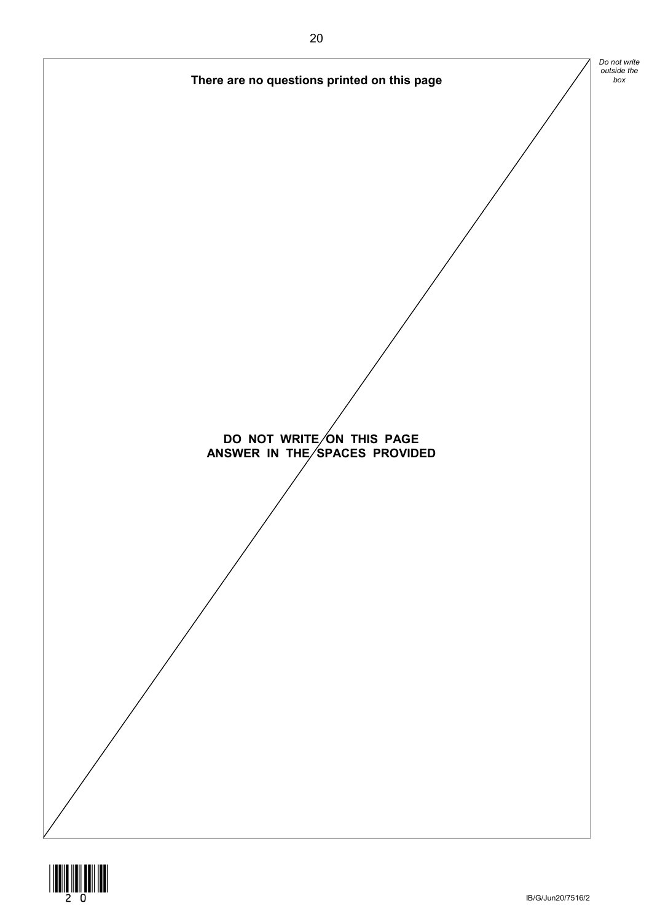

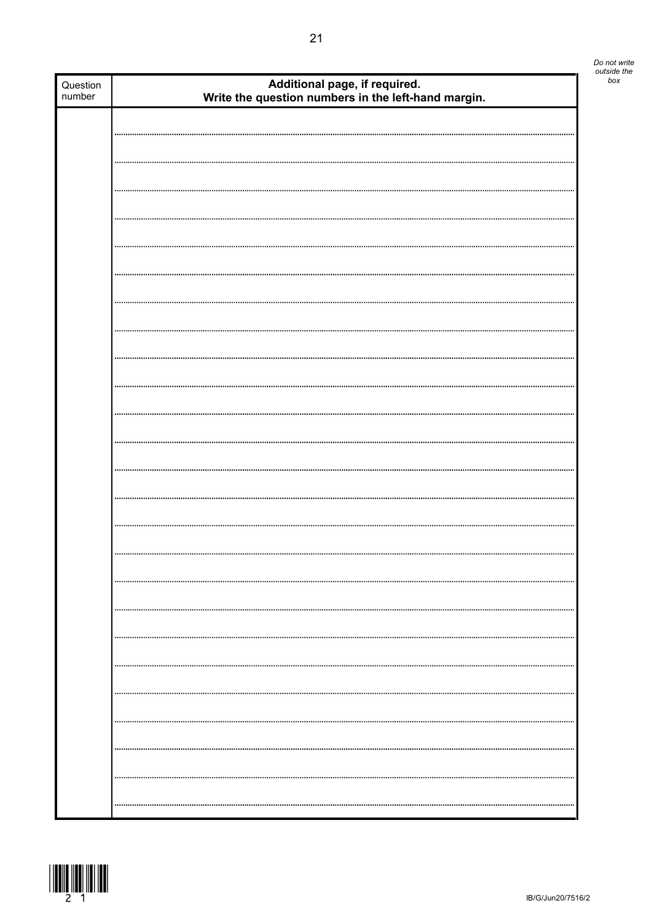| Question<br>number | Additional page, if required.<br>Write the question numbers in the left-hand margin. | outside<br>box |
|--------------------|--------------------------------------------------------------------------------------|----------------|
|                    |                                                                                      |                |
|                    |                                                                                      |                |
|                    |                                                                                      |                |
|                    |                                                                                      |                |
|                    |                                                                                      |                |
|                    |                                                                                      |                |
|                    |                                                                                      |                |
|                    |                                                                                      |                |
|                    |                                                                                      |                |
|                    |                                                                                      |                |
|                    |                                                                                      |                |
|                    |                                                                                      |                |
|                    |                                                                                      |                |
|                    |                                                                                      |                |
|                    |                                                                                      |                |
|                    |                                                                                      |                |
|                    |                                                                                      |                |
|                    |                                                                                      |                |
|                    |                                                                                      |                |
|                    |                                                                                      |                |
|                    |                                                                                      |                |
|                    |                                                                                      |                |
|                    |                                                                                      |                |
|                    |                                                                                      |                |
|                    |                                                                                      |                |
|                    |                                                                                      |                |
|                    |                                                                                      |                |
|                    |                                                                                      |                |
|                    |                                                                                      |                |
|                    |                                                                                      |                |
|                    |                                                                                      |                |
|                    |                                                                                      |                |
|                    |                                                                                      |                |

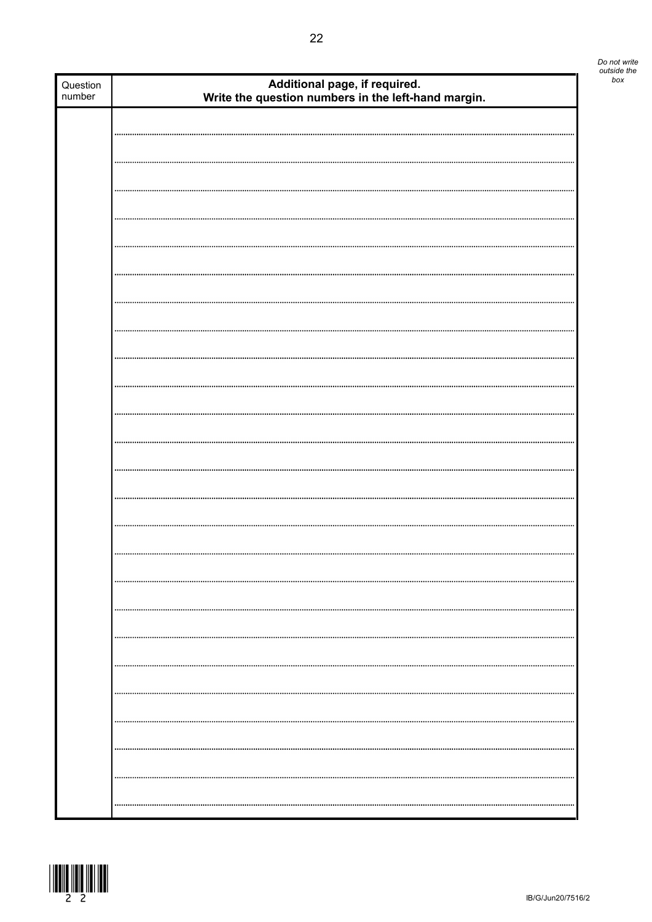| Question<br>number | Additional page, if required.<br>Write the question numbers in the left-hand margin. |  |
|--------------------|--------------------------------------------------------------------------------------|--|
|                    |                                                                                      |  |
|                    |                                                                                      |  |
|                    |                                                                                      |  |
|                    |                                                                                      |  |
|                    |                                                                                      |  |
|                    |                                                                                      |  |
|                    |                                                                                      |  |
|                    |                                                                                      |  |
|                    |                                                                                      |  |
|                    |                                                                                      |  |
|                    |                                                                                      |  |
|                    |                                                                                      |  |
|                    |                                                                                      |  |
|                    |                                                                                      |  |
|                    |                                                                                      |  |
|                    |                                                                                      |  |
|                    |                                                                                      |  |
|                    |                                                                                      |  |
|                    |                                                                                      |  |
|                    |                                                                                      |  |
|                    |                                                                                      |  |
|                    |                                                                                      |  |
|                    |                                                                                      |  |
|                    |                                                                                      |  |
|                    |                                                                                      |  |
|                    |                                                                                      |  |
|                    |                                                                                      |  |
|                    |                                                                                      |  |
|                    |                                                                                      |  |
|                    |                                                                                      |  |
|                    |                                                                                      |  |
|                    |                                                                                      |  |
|                    |                                                                                      |  |
|                    |                                                                                      |  |

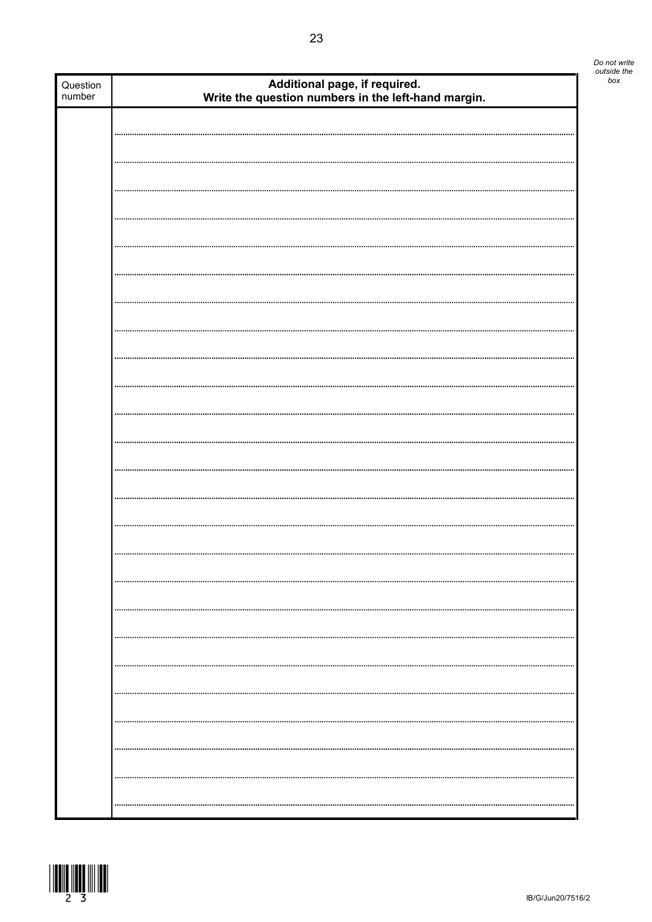| Question<br>number | Additional page, if required.<br>Write the question numbers in the left-hand margin. | bo |
|--------------------|--------------------------------------------------------------------------------------|----|
|                    |                                                                                      |    |
|                    |                                                                                      |    |
|                    |                                                                                      |    |
|                    |                                                                                      |    |
|                    |                                                                                      |    |
|                    |                                                                                      |    |
|                    |                                                                                      |    |
|                    |                                                                                      |    |
|                    |                                                                                      |    |
|                    |                                                                                      |    |
|                    |                                                                                      |    |
|                    |                                                                                      |    |
|                    |                                                                                      |    |
|                    |                                                                                      |    |
|                    |                                                                                      |    |
|                    |                                                                                      |    |
|                    |                                                                                      |    |
|                    |                                                                                      |    |
|                    |                                                                                      |    |
|                    |                                                                                      |    |
|                    |                                                                                      |    |
|                    |                                                                                      |    |
|                    |                                                                                      |    |
|                    |                                                                                      |    |
|                    |                                                                                      |    |
|                    |                                                                                      |    |
|                    |                                                                                      |    |
|                    |                                                                                      |    |
|                    |                                                                                      |    |
|                    |                                                                                      |    |
|                    |                                                                                      |    |
|                    |                                                                                      |    |
|                    |                                                                                      |    |
|                    |                                                                                      |    |
|                    |                                                                                      |    |
|                    |                                                                                      |    |
|                    |                                                                                      |    |
|                    |                                                                                      |    |